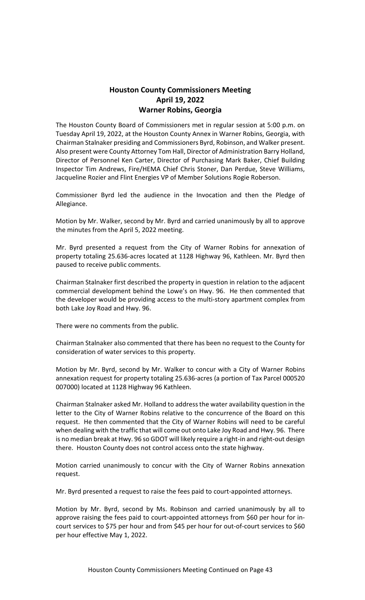# **Houston County Commissioners Meeting April 19, 2022 Warner Robins, Georgia**

The Houston County Board of Commissioners met in regular session at 5:00 p.m. on Tuesday April 19, 2022, at the Houston County Annex in Warner Robins, Georgia, with Chairman Stalnaker presiding and Commissioners Byrd, Robinson, and Walker present. Also present were County Attorney Tom Hall, Director of Administration Barry Holland, Director of Personnel Ken Carter, Director of Purchasing Mark Baker, Chief Building Inspector Tim Andrews, Fire/HEMA Chief Chris Stoner, Dan Perdue, Steve Williams, Jacqueline Rozier and Flint Energies VP of Member Solutions Rogie Roberson.

Commissioner Byrd led the audience in the Invocation and then the Pledge of Allegiance.

Motion by Mr. Walker, second by Mr. Byrd and carried unanimously by all to approve the minutes from the April 5, 2022 meeting.

Mr. Byrd presented a request from the City of Warner Robins for annexation of property totaling 25.636-acres located at 1128 Highway 96, Kathleen. Mr. Byrd then paused to receive public comments.

Chairman Stalnaker first described the property in question in relation to the adjacent commercial development behind the Lowe's on Hwy. 96. He then commented that the developer would be providing access to the multi-story apartment complex from both Lake Joy Road and Hwy. 96.

There were no comments from the public.

Chairman Stalnaker also commented that there has been no request to the County for consideration of water services to this property.

Motion by Mr. Byrd, second by Mr. Walker to concur with a City of Warner Robins annexation request for property totaling 25.636-acres (a portion of Tax Parcel 000520 007000) located at 1128 Highway 96 Kathleen.

Chairman Stalnaker asked Mr. Holland to address the water availability question in the letter to the City of Warner Robins relative to the concurrence of the Board on this request. He then commented that the City of Warner Robins will need to be careful when dealing with the traffic that will come out onto Lake Joy Road and Hwy. 96. There is no median break at Hwy. 96 so GDOT will likely require a right-in and right-out design there. Houston County does not control access onto the state highway.

Motion carried unanimously to concur with the City of Warner Robins annexation request.

Mr. Byrd presented a request to raise the fees paid to court-appointed attorneys.

Motion by Mr. Byrd, second by Ms. Robinson and carried unanimously by all to approve raising the fees paid to court-appointed attorneys from \$60 per hour for incourt services to \$75 per hour and from \$45 per hour for out-of-court services to \$60 per hour effective May 1, 2022.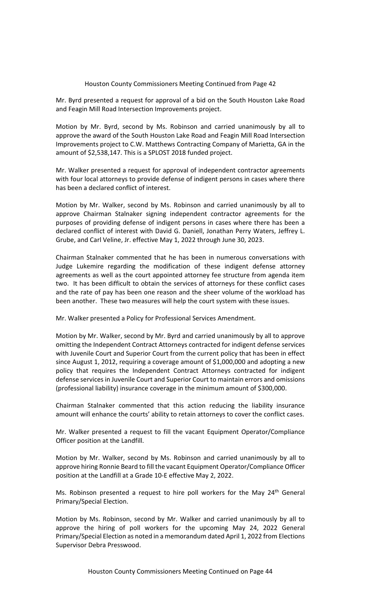Mr. Byrd presented a request for approval of a bid on the South Houston Lake Road and Feagin Mill Road Intersection Improvements project.

Motion by Mr. Byrd, second by Ms. Robinson and carried unanimously by all to approve the award of the South Houston Lake Road and Feagin Mill Road Intersection Improvements project to C.W. Matthews Contracting Company of Marietta, GA in the amount of \$2,538,147. This is a SPLOST 2018 funded project.

Mr. Walker presented a request for approval of independent contractor agreements with four local attorneys to provide defense of indigent persons in cases where there has been a declared conflict of interest.

Motion by Mr. Walker, second by Ms. Robinson and carried unanimously by all to approve Chairman Stalnaker signing independent contractor agreements for the purposes of providing defense of indigent persons in cases where there has been a declared conflict of interest with David G. Daniell, Jonathan Perry Waters, Jeffrey L. Grube, and Carl Veline, Jr. effective May 1, 2022 through June 30, 2023.

Chairman Stalnaker commented that he has been in numerous conversations with Judge Lukemire regarding the modification of these indigent defense attorney agreements as well as the court appointed attorney fee structure from agenda item two. It has been difficult to obtain the services of attorneys for these conflict cases and the rate of pay has been one reason and the sheer volume of the workload has been another. These two measures will help the court system with these issues.

Mr. Walker presented a Policy for Professional Services Amendment.

Motion by Mr. Walker, second by Mr. Byrd and carried unanimously by all to approve omitting the Independent Contract Attorneys contracted for indigent defense services with Juvenile Court and Superior Court from the current policy that has been in effect since August 1, 2012, requiring a coverage amount of \$1,000,000 and adopting a new policy that requires the Independent Contract Attorneys contracted for indigent defense services in Juvenile Court and Superior Court to maintain errors and omissions (professional liability) insurance coverage in the minimum amount of \$300,000.

Chairman Stalnaker commented that this action reducing the liability insurance amount will enhance the courts' ability to retain attorneys to cover the conflict cases.

Mr. Walker presented a request to fill the vacant Equipment Operator/Compliance Officer position at the Landfill.

Motion by Mr. Walker, second by Ms. Robinson and carried unanimously by all to approve hiring Ronnie Beard to fill the vacant Equipment Operator/Compliance Officer position at the Landfill at a Grade 10-E effective May 2, 2022.

Ms. Robinson presented a request to hire poll workers for the May 24<sup>th</sup> General Primary/Special Election.

Motion by Ms. Robinson, second by Mr. Walker and carried unanimously by all to approve the hiring of poll workers for the upcoming May 24, 2022 General Primary/Special Election as noted in a memorandum dated April 1, 2022 from Elections Supervisor Debra Presswood.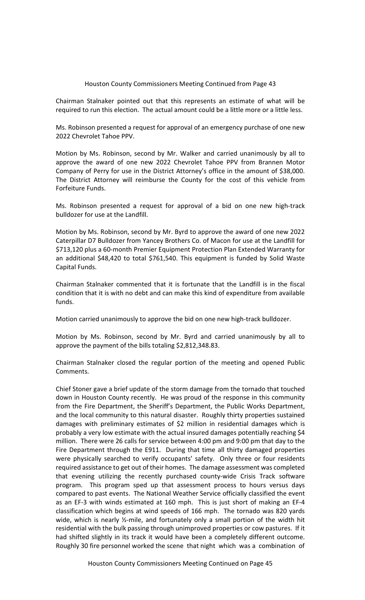Chairman Stalnaker pointed out that this represents an estimate of what will be required to run this election. The actual amount could be a little more or a little less.

Ms. Robinson presented a request for approval of an emergency purchase of one new 2022 Chevrolet Tahoe PPV.

Motion by Ms. Robinson, second by Mr. Walker and carried unanimously by all to approve the award of one new 2022 Chevrolet Tahoe PPV from Brannen Motor Company of Perry for use in the District Attorney's office in the amount of \$38,000. The District Attorney will reimburse the County for the cost of this vehicle from Forfeiture Funds.

Ms. Robinson presented a request for approval of a bid on one new high-track bulldozer for use at the Landfill.

Motion by Ms. Robinson, second by Mr. Byrd to approve the award of one new 2022 Caterpillar D7 Bulldozer from Yancey Brothers Co. of Macon for use at the Landfill for \$713,120 plus a 60-month Premier Equipment Protection Plan Extended Warranty for an additional \$48,420 to total \$761,540. This equipment is funded by Solid Waste Capital Funds.

Chairman Stalnaker commented that it is fortunate that the Landfill is in the fiscal condition that it is with no debt and can make this kind of expenditure from available funds.

Motion carried unanimously to approve the bid on one new high-track bulldozer.

Motion by Ms. Robinson, second by Mr. Byrd and carried unanimously by all to approve the payment of the bills totaling \$2,812,348.83.

Chairman Stalnaker closed the regular portion of the meeting and opened Public Comments.

Chief Stoner gave a brief update of the storm damage from the tornado that touched down in Houston County recently. He was proud of the response in this community from the Fire Department, the Sheriff's Department, the Public Works Department, and the local community to this natural disaster. Roughly thirty properties sustained damages with preliminary estimates of \$2 million in residential damages which is probably a very low estimate with the actual insured damages potentially reaching \$4 million. There were 26 calls for service between 4:00 pm and 9:00 pm that day to the Fire Department through the E911. During that time all thirty damaged properties were physically searched to verify occupants' safety. Only three or four residents required assistance to get out of their homes. The damage assessment was completed that evening utilizing the recently purchased county-wide Crisis Track software program. This program sped up that assessment process to hours versus days compared to past events. The National Weather Service officially classified the event as an EF-3 with winds estimated at 160 mph. This is just short of making an EF-4 classification which begins at wind speeds of 166 mph. The tornado was 820 yards wide, which is nearly ½-mile, and fortunately only a small portion of the width hit residential with the bulk passing through unimproved properties or cow pastures. If it had shifted slightly in its track it would have been a completely different outcome. Roughly 30 fire personnel worked the scene that night which was a combination of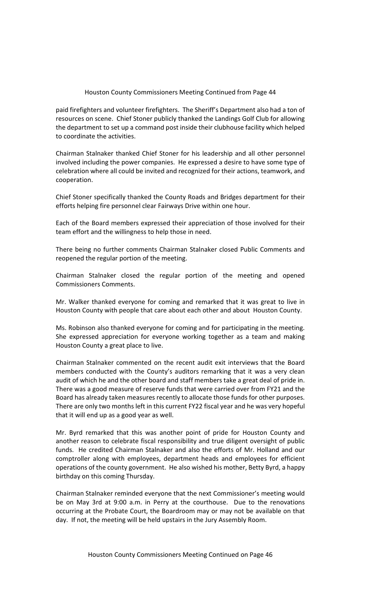paid firefighters and volunteer firefighters. The Sheriff's Department also had a ton of resources on scene. Chief Stoner publicly thanked the Landings Golf Club for allowing the department to set up a command post inside their clubhouse facility which helped to coordinate the activities.

Chairman Stalnaker thanked Chief Stoner for his leadership and all other personnel involved including the power companies. He expressed a desire to have some type of celebration where all could be invited and recognized for their actions, teamwork, and cooperation.

Chief Stoner specifically thanked the County Roads and Bridges department for their efforts helping fire personnel clear Fairways Drive within one hour.

Each of the Board members expressed their appreciation of those involved for their team effort and the willingness to help those in need.

There being no further comments Chairman Stalnaker closed Public Comments and reopened the regular portion of the meeting.

Chairman Stalnaker closed the regular portion of the meeting and opened Commissioners Comments.

Mr. Walker thanked everyone for coming and remarked that it was great to live in Houston County with people that care about each other and about Houston County.

Ms. Robinson also thanked everyone for coming and for participating in the meeting. She expressed appreciation for everyone working together as a team and making Houston County a great place to live.

Chairman Stalnaker commented on the recent audit exit interviews that the Board members conducted with the County's auditors remarking that it was a very clean audit of which he and the other board and staff members take a great deal of pride in. There was a good measure of reserve funds that were carried over from FY21 and the Board has already taken measures recently to allocate those funds for other purposes. There are only two months left in this current FY22 fiscal year and he was very hopeful that it will end up as a good year as well.

Mr. Byrd remarked that this was another point of pride for Houston County and another reason to celebrate fiscal responsibility and true diligent oversight of public funds. He credited Chairman Stalnaker and also the efforts of Mr. Holland and our comptroller along with employees, department heads and employees for efficient operations of the county government. He also wished his mother, Betty Byrd, a happy birthday on this coming Thursday.

Chairman Stalnaker reminded everyone that the next Commissioner's meeting would be on May 3rd at 9:00 a.m. in Perry at the courthouse. Due to the renovations occurring at the Probate Court, the Boardroom may or may not be available on that day. If not, the meeting will be held upstairs in the Jury Assembly Room.